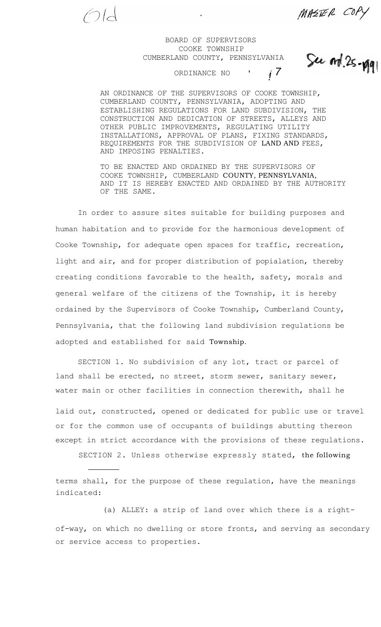MASTER COPY

See ord. 25-ygy

## BOARD OF SUPERVISORS COOKE TOWNSHIP CUMBERLAND COUNTY, PENNSYLVANIA

 $\bigodot$  ld

ORDINANCE NO *!*

AN ORDINANCE OF THE SUPERVISORS OF COOKE TOWNSHIP, CUMBERLAND COUNTY, PENNSYLVANIA, ADOPTING AND ESTABLISHING REGULATIONS FOR LAND SUBDIVISION, THE CONSTRUCTION AND DEDICATION OF STREETS, ALLEYS AND OTHER PUBLIC IMPROVEMENTS, REGULATING UTILITY INSTALLATIONS, APPROVAL OF PLANS, FIXING STANDARDS, REQUIREMENTS FOR THE SUBDIVISION OF LAND AND FEES, AND IMPOSING PENALTIES.

TO BE ENACTED AND ORDAINED BY THE SUPERVISORS OF COOKE TOWNSHIP, CUMBERLAND COUNTY, PENNSYLVANIA, AND IT IS HEREBY ENACTED AND ORDAINED BY THE AUTHORITY OF THE SAME.

In order to assure sites suitable for building purposes and human habitation and to provide for the harmonious development of Cooke Township, for adequate open spaces for traffic, recreation, light and air, and for proper distribution of popialation, thereby creating conditions favorable to the health, safety, morals and general welfare of the citizens of the Township, it is hereby ordained by the Supervisors of Cooke Township, Cumberland County, Pennsylvania, that the following land subdivision regulations be adopted and established for said Township.

SECTION 1. No subdivision of any lot, tract or parcel of land shall be erected, no street, storm sewer, sanitary sewer, water main or other facilities in connection therewith, shall he

laid out, constructed, opened or dedicated for public use or travel or for the common use of occupants of buildings abutting thereon except in strict accordance with the provisions of these regulations.

SECTION 2. Unless otherwise expressly stated, the following

terms shall, for the purpose of these regulation, have the meanings indicated:

(a) ALLEY: a strip of land over which there is a rightof-way, on which no dwelling or store fronts, and serving as secondary or service access to properties.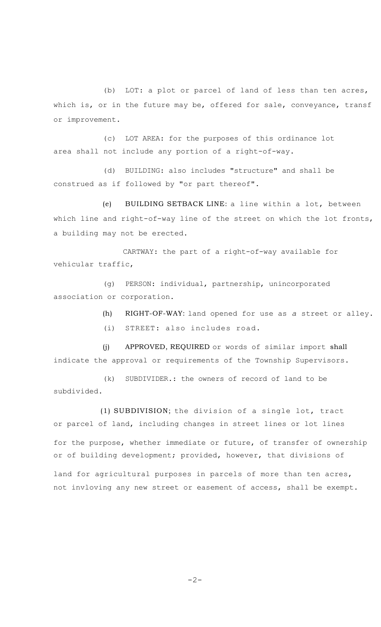(b) LOT: a plot or parcel of land of less than ten acres, which is, or in the future may be, offered for sale, conveyance, transf or improvement.

(c) LOT AREA: for the purposes of this ordinance lot area shall not include any portion of a right-of-way.

(d) BUILDING: also includes "structure" and shall be construed as if followed by "or part thereof".

(e) BUILDING SETBACK LINE: a line within a lot, between which line and right-of-way line of the street on which the lot fronts, a building may not be erected.

CARTWAY: the part of a right-of-way available for vehicular traffic,

(g) PERSON: individual, partnership, unincorporated association or corporation.

(h) RIGHT-OF-WAY: land opened for use as *a* street or alley.

(i) STREET: also includes road.

(j) APPROVED, REQUIRED or words of similar import shall indicate the approval or requirements of the Township Supervisors.

(k) SUBDIVIDER.: the owners of record of land to be subdivided.

(1) SUBDIVISION; the division of a single lot, tract or parcel of land, including changes in street lines or lot lines

for the purpose, whether immediate or future, of transfer of ownership or of building development; provided, however, that divisions of

land for agricultural purposes in parcels of more than ten acres, not invloving any new street or easement of access, shall be exempt.

 $-2-$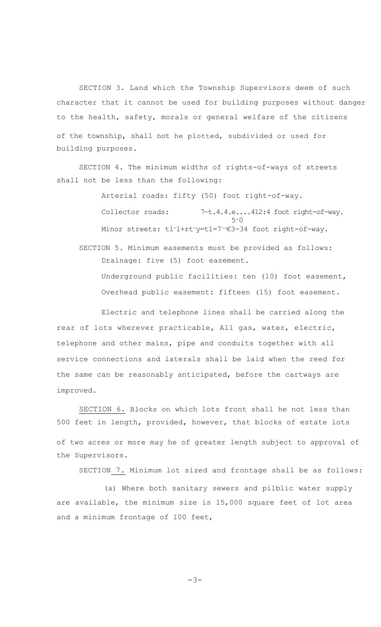SECTION 3. Land which the Township Supervisors deem of such character that it cannot be used for building purposes without danger to the health, safety, morals or general welfare of the citizens of the township, shall not he plotted, subdivided or used for building purposes.

SECTION 4. The minimum widths of rights-of-ways of streets shall not be less than the following:

> Arterial roads: fifty (50) foot right-of-way. Collector roads: 7-t.4.4.e....412:4 foot right-of-way. 5-0 Minor streets: tl-l+rt-y=t1=7--€3-34 foot right-of-way.

SECTION 5. Minimum easements must be provided as follows: Drainage: five (5) foot easement. Underground public facilities: ten (10) foot easement, Overhead public easement: fifteen (15) foot easement.

Electric and telephone lines shall be carried along the rear of lots wherever practicable, All gas, water, electric, telephone and other mains, pipe and conduits together with all service connections and laterals shall be laid when the reed for the same can be reasonably anticipated, before the cartways are improved.

SECTION 6. Blocks on which lots front shall he not less than 500 feet in length, provided, however, that blocks of estate lots of two acres or more may he of greater length subject to approval of the Supervisors.

SECTION 7. Minimum lot sized and frontage shall be as follows:

(a) Where both sanitary sewers and pilblic water supply are available, the minimum size is 15,000 square feet of lot area and a minimum frontage of 100 feet,

 $-3-$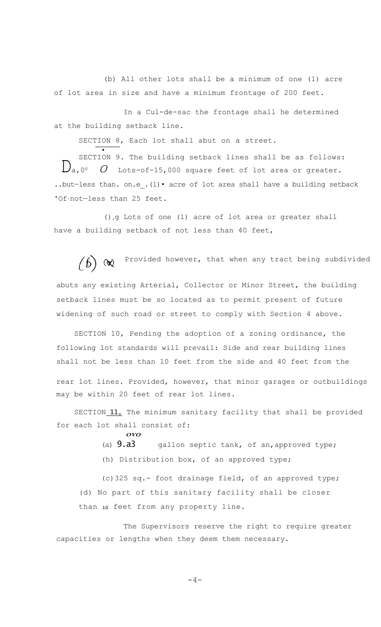(b) All other lots shall be a minimum of one (1) acre of lot area in size and have a minimum frontage of 200 feet.

In a Cul-de-sac the frontage shall he determined at the building setback line.

SECTION 8, Each lot shall abut on a street.

• SECTION 9. The building setback lines shall be as follows:  $\bigcup_{a}$ , 0<sup>6</sup> *O* Lots-of-15,000 square feet of lot area or greater. ..but-less than. on.e . (1) · acre of lot area shall have a building setback 'Of.not-less than 25 feet.

(),g Lots of one (1) acre of lot area or greater shall have a building setback of not less than 40 feet,

 $\begin{pmatrix} \mathbf{b} \end{pmatrix}$  ( $\mathbf{\mathsf{N}}$ ) Provided however, that when any tract being subdivided abuts any existing Arterial, Collector or Minor Street, the building setback lines must be so located as to permit present of future widening of such road or street to comply with Section 4 above.

SECTION 10, Pending the adoption of a zoning ordinance, the following lot standards will prevail: Side and rear building lines shall not be less than 10 feet from the side and 40 feet from the rear lot lines. Provided, however, that minor garages or outbuildings may be within 20 feet of rear lot lines.

SECTION 11. The minimum sanitary facility that shall be provided for each lot shall consist of:

**OVO**

(a)  $9. a3$  gallon septic tank, of an, approved type;

(h) Distribution box, of an approved type;

(c)325 sq.- foot drainage field, of an approved type; (d) No part of this sanitary facility shall be closer than 10 feet from any property line.

The Supervisors reserve the right to require greater capacities or lengths when they deem them necessary.

 $-4-$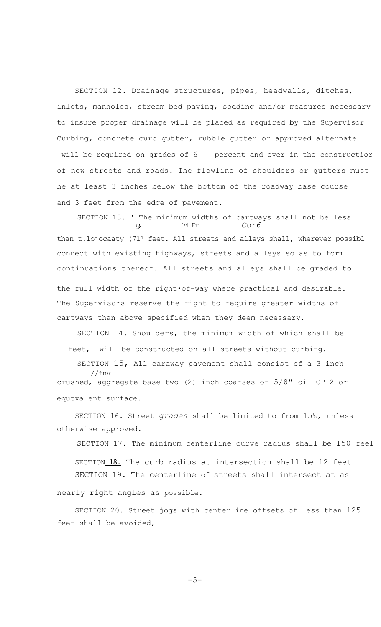SECTION 12. Drainage structures, pipes, headwalls, ditches, inlets, manholes, stream bed paving, sodding and/or measures necessary to insure proper drainage will be placed as required by the Supervisor Curbing, concrete curb gutter, rubble gutter or approved alternate will be required on grades of 6 percent and over in the constructior of new streets and roads. The flowline of shoulders or gutters must he at least 3 inches below the bottom of the roadway base course and 3 feet from the edge of pavement.

SECTION 13. ' The minimum widths of cartways shall not be less *g,* 74 Fr *Cor6* than t.lojocaaty (71<sup>1</sup> feet. All streets and alleys shall, wherever possibl connect with existing highways, streets and alleys so as to form continuations thereof. All streets and alleys shall be graded to the full width of the right•of-way where practical and desirable. The Supervisors reserve the right to require greater widths of cartways than above specified when they deem necessary.

SECTION 14. Shoulders, the minimum width of which shall be feet, will be constructed on all streets without curbing.

SECTION 15, All caraway pavement shall consist of a 3 inch //fnv crushed, aggregate base two (2) inch coarses of 5/8" oil CP-2 or equtvalent surface.

SECTION 16. Street *grades* shall be limited to from 15%, unless otherwise approved.

SECTION 17. The minimum centerline curve radius shall be 150 feel SECTION 18. The curb radius at intersection shall be 12 feet. SECTION 19. The centerline of streets shall intersect at as nearly right angles as possible.

SECTION 20. Street jogs with centerline offsets of less than 125 feet shall be avoided,

 $-5-$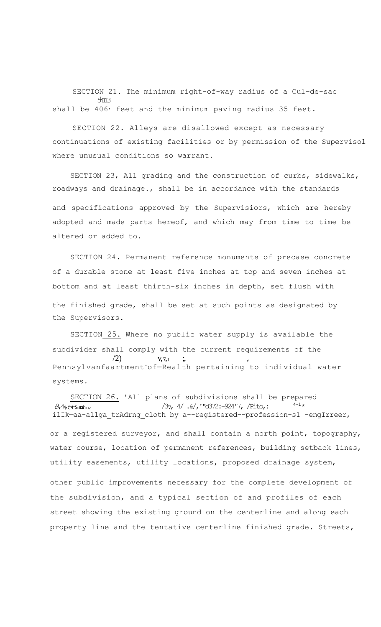SECTION 21. The minimum right-of-way radius of a Cul-de-sac 5 <sup>1</sup>4113 shall be 406<sup>,</sup> feet and the minimum paving radius 35 feet.

SECTION 22. Alleys are disallowed except as necessary continuations of existing facilities or by permission of the Supervisol where unusual conditions so warrant.

SECTION 23, All grading and the construction of curbs, sidewalks, roadways and drainage., shall be in accordance with the standards

and specifications approved by the Supervisiors, which are hereby adopted and made parts hereof, and which may from time to time be altered or added to.

SECTION 24. Permanent reference monuments of precase concrete of a durable stone at least five inches at top and seven inches at bottom and at least thirth-six inches in depth, set flush with the finished grade, shall be set at such points as designated by the Supervisors.

SECTION 25. Where no public water supply is available the subdivider shall comply with the current requirements of the  $V, 7, t$  ; Pennsylvanfaartment-of—Realth pertaining to individual water systems.

SECTION 26. 'All plans of subdivisions shall be prepared  $19,4$ <sub>4</sub> $(45.30)$  $737, 4/ .\% / 772: -924'7, 7$  Pito,:  $4-1*$ ilIk—aa-allga\_trAdrng\_cloth by a--registered--profession-s1 -engIrreer, or a registered surveyor, and shall contain a north point, topography, water course, location of permanent references, building setback lines, utility easements, utility locations, proposed drainage system, other public improvements necessary for the complete development of

the subdivision, and a typical section of and profiles of each street showing the existing ground on the centerline and along each property line and the tentative centerline finished grade. Streets,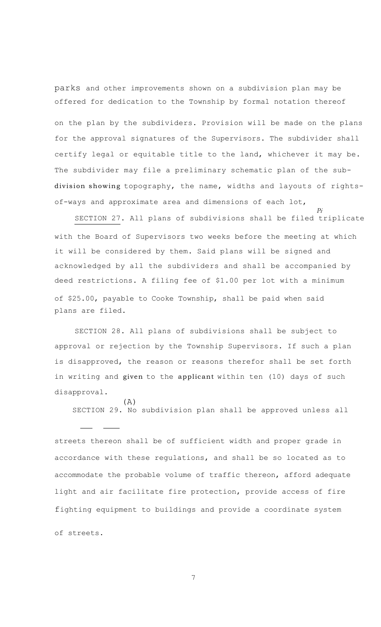parks and other improvements shown on a subdivision plan may be offered for dedication to the Township by formal notation thereof on the plan by the subdividers. Provision will be made on the plans for the approval signatures of the Supervisors. The subdivider shall certify legal or equitable title to the land, whichever it may be. The subdivider may file a preliminary schematic plan of the subdivision showing topography, the name, widths and layouts of rightsof-ways and approximate area and dimensions of each lot,

SECTION 27. All plans of subdivisions shall be filed triplicate with the Board of Supervisors two weeks before the meeting at which it will be considered by them. Said plans will be signed and acknowledged by all the subdividers and shall be accompanied by deed restrictions. A filing fee of \$1.00 per lot with a minimum of \$25.00, payable to Cooke Township, shall be paid when said plans are filed.

*Pi*

SECTION 28. All plans of subdivisions shall be subject to approval or rejection by the Township Supervisors. If such a plan is disapproved, the reason or reasons therefor shall be set forth in writing and given to the applicant within ten (10) days of such disapproval.

(A) SECTION 29. No subdivision plan shall be approved unless all

streets thereon shall be of sufficient width and proper grade in accordance with these regulations, and shall be so located as to accommodate the probable volume of traffic thereon, afford adequate light and air facilitate fire protection, provide access of fire fighting equipment to buildings and provide a coordinate system

of streets.

7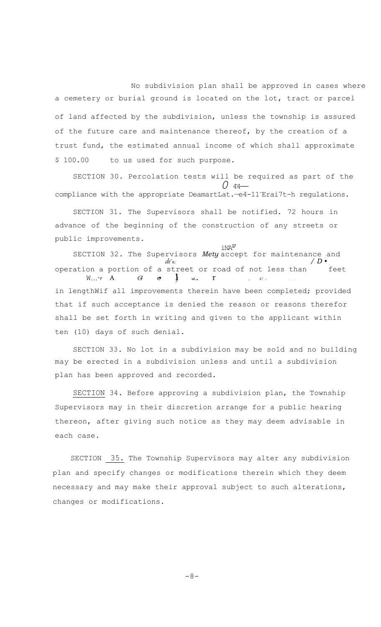No subdivision plan shall be approved in cases where a cemetery or burial ground is located on the lot, tract or parcel of land affected by the subdivision, unless the township is assured of the future care and maintenance thereof, by the creation of a trust fund, the estimated annual income of which shall approximate \$ 100.00 to us used for such purpose.

SECTION 30. Percolation tests will be required as part of the  $\overline{0}$   $\overline{44}$ compliance with the appropriate DeamartLat.—e4-11-Erai7t-h regulations.

SECTION 31. The Supervisors shall be notified. 72 hours in advance of the beginning of the construction of any streets or public improvements.

 $iNA^{17}$ SECTION 32. The Supervisors *Mety* accept for maintenance and *de-6; / D •* operation a portion of a street or road of not less than feet W,,,"f  $A$  *G*  $\vdots$   $\vdots$   $\vdots$   $\vdots$   $\vdots$   $\vdots$   $\vdots$   $\vdots$   $\vdots$   $\vdots$   $\vdots$   $\vdots$   $\vdots$   $\vdots$   $\vdots$   $\vdots$ in lengthWif all improvements therein have been completed; provided that if such acceptance is denied the reason or reasons therefor shall be set forth in writing and given to the applicant within ten (10) days of such denial.

SECTION 33. No lot in a subdivision may be sold and no building may be erected in a subdivision unless and until a subdivision plan has been approved and recorded.

SECTION 34. Before approving a subdivision plan, the Township Supervisors may in their discretion arrange for a public hearing thereon, after giving such notice as they may deem advisable in each case.

SECTION 35. The Township Supervisors may alter any subdivision plan and specify changes or modifications therein which they deem necessary and may make their approval subject to such alterations, changes or modifications.

 $-8-$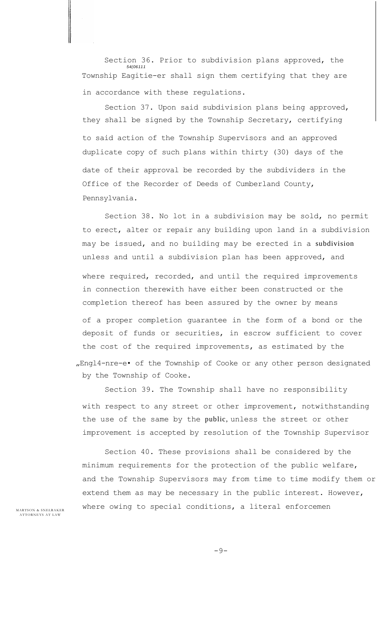Section 36. Prior to subdivision plans approved, the *54(06111* Township Eagitie-er shall sign them certifying that they are in accordance with these regulations.

Section 37. Upon said subdivision plans being approved, they shall be signed by the Township Secretary, certifying to said action of the Township Supervisors and an approved duplicate copy of such plans within thirty (30) days of the date of their approval be recorded by the subdividers in the Office of the Recorder of Deeds of Cumberland County, Pennsylvania.

Section 38. No lot in a subdivision may be sold, no permit to erect, alter or repair any building upon land in a subdivision may be issued, and no building may be erected in a subdivision unless and until a subdivision plan has been approved, and where required, recorded, and until the required improvements in connection therewith have either been constructed or the completion thereof has been assured by the owner by means of a proper completion guarantee in the form of a bond or the deposit of funds or securities, in escrow sufficient to cover the cost of the required improvements, as estimated by the "Engl4-nre-e• of the Township of Cooke or any other person designated by the Township of Cooke.

Section 39. The Township shall have no responsibility with respect to any street or other improvement, notwithstanding the use of the same by the public, unless the street or other improvement is accepted by resolution of the Township Supervisor

Section 40. These provisions shall be considered by the minimum requirements for the protection of the public welfare, and the Township Supervisors may from time to time modify them or extend them as may be necessary in the public interest. However,  $MARTSON & SNELRAKER$  where owing to special conditions, a literal enforcemen

A T T ORNEYS A T LAN

-9-